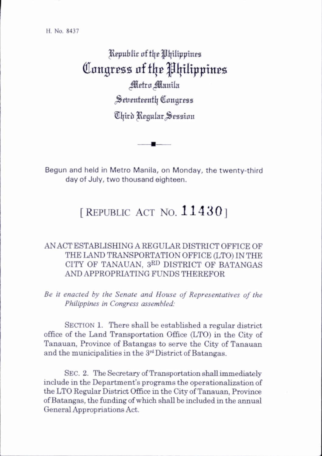H. No. 8437

Republic of the Philippines Congress of the Philippines Metro Manila Seventeenth Congress Third Regular Session

Begun and held in Metro Manila, on Monday, the twenty-third dav of July, two thousand eighteen.

## [REPUBLIC ACT NO.  $11430$ ]

## AN ACT ESTABLISHING A REGULAR DISTRICT OFFICE OF THE LAND TRANSPORTATION OFFICE (LTO) IN THE CITY OF TANAUAN, 3rd DISTRICT OF BATANGAS AND APPROPRIATING FUNDS THEREFOR

Be it enacted by the Senate and House of Representatives of the Philippines in Congress assembled:

SECTION 1. There shall be established a regular district office of the Land Transportation Office (LTO) in the City of Tanauan, Province of Batangas to serve the City of Tanauan and the municipahties in the 3rd District of Batangas.

SEC. 2. The Secretary of Transportation shall immediately include in the Department's programs the operationahzation of the LTO Regular District Office in the City of Tanauan, Province of Batangas, the funding of which shall be included in the annual General Appropriations Act.